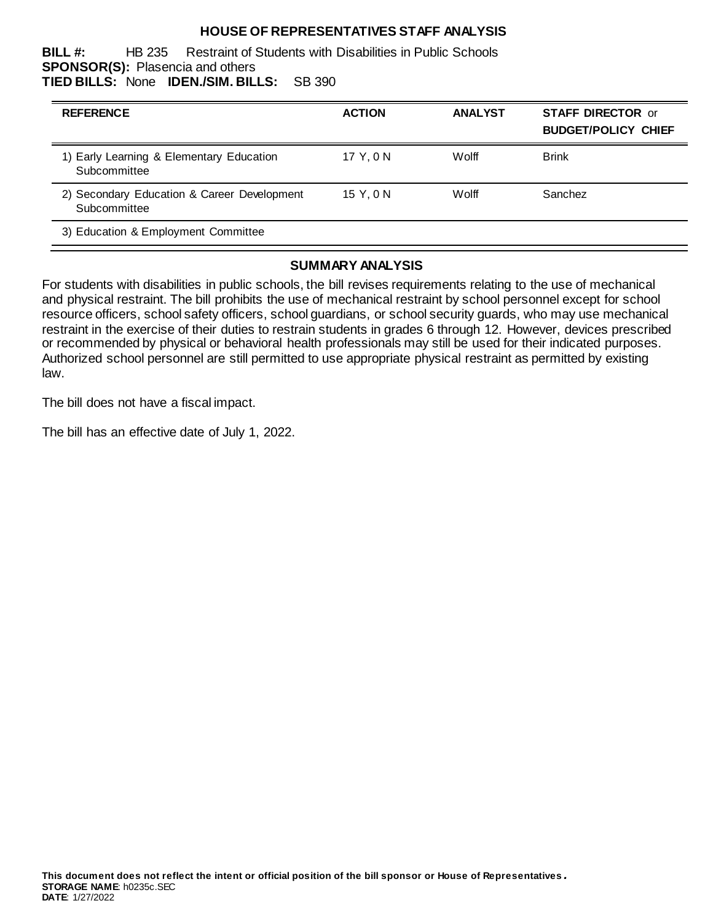## **HOUSE OF REPRESENTATIVES STAFF ANALYSIS**

**BILL #:** HB 235 Restraint of Students with Disabilities in Public Schools **SPONSOR(S):** Plasencia and others **TIED BILLS:** None **IDEN./SIM. BILLS:** SB 390

| <b>REFERENCE</b>                                            | <b>ACTION</b> | <b>ANALYST</b> | <b>STAFF DIRECTOR or</b><br><b>BUDGET/POLICY CHIEF</b> |
|-------------------------------------------------------------|---------------|----------------|--------------------------------------------------------|
| 1) Early Learning & Elementary Education<br>Subcommittee    | 17 Y.ON       | Wolff          | <b>Brink</b>                                           |
| 2) Secondary Education & Career Development<br>Subcommittee | 15 Y.ON       | Wolff          | Sanchez                                                |
| 3) Education & Employment Committee                         |               |                |                                                        |

#### **SUMMARY ANALYSIS**

For students with disabilities in public schools, the bill revises requirements relating to the use of mechanical and physical restraint. The bill prohibits the use of mechanical restraint by school personnel except for school resource officers, school safety officers, school guardians, or school security guards, who may use mechanical restraint in the exercise of their duties to restrain students in grades 6 through 12. However, devices prescribed or recommended by physical or behavioral health professionals may still be used for their indicated purposes. Authorized school personnel are still permitted to use appropriate physical restraint as permitted by existing law.

The bill does not have a fiscal impact.

The bill has an effective date of July 1, 2022.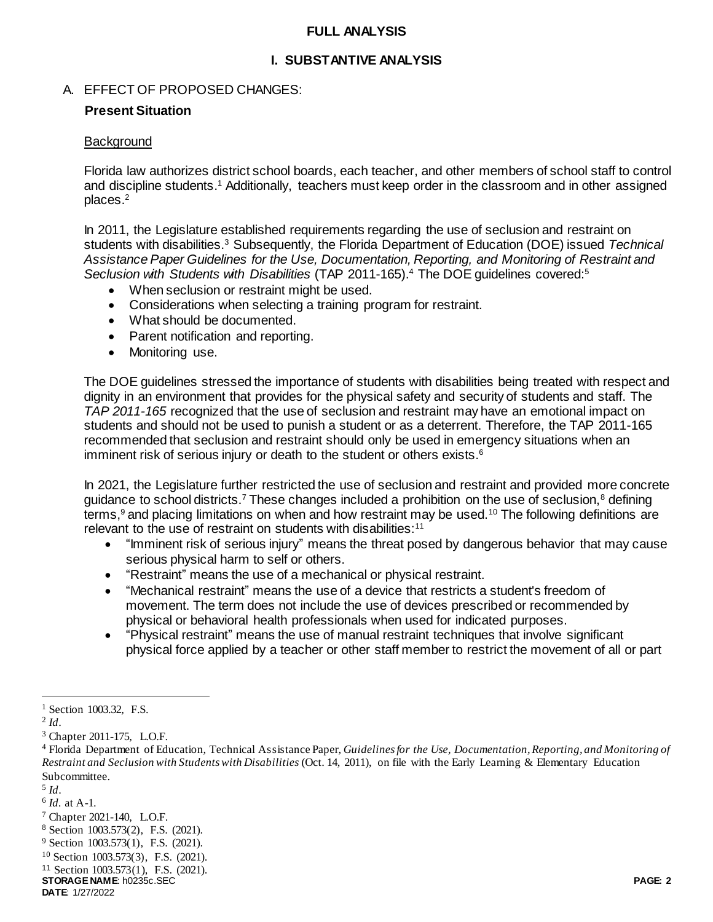#### **FULL ANALYSIS**

## **I. SUBSTANTIVE ANALYSIS**

#### A. EFFECT OF PROPOSED CHANGES:

#### **Present Situation**

#### **Background**

Florida law authorizes district school boards, each teacher, and other members of school staff to control and discipline students. <sup>1</sup> Additionally, teachers must keep order in the classroom and in other assigned places.<sup>2</sup>

In 2011, the Legislature established requirements regarding the use of seclusion and restraint on students with disabilities.<sup>3</sup> Subsequently, the Florida Department of Education (DOE) issued *Technical Assistance Paper Guidelines for the Use, Documentation, Reporting, and Monitoring of Restraint and*  Seclusion with Students with Disabilities (TAP 2011-165).<sup>4</sup> The DOE guidelines covered:<sup>5</sup>

- When seclusion or restraint might be used.
- Considerations when selecting a training program for restraint.
- What should be documented.
- Parent notification and reporting.
- Monitoring use.

The DOE guidelines stressed the importance of students with disabilities being treated with respect and dignity in an environment that provides for the physical safety and security of students and staff. The *TAP 2011-165* recognized that the use of seclusion and restraint may have an emotional impact on students and should not be used to punish a student or as a deterrent. Therefore, the TAP 2011-165 recommended that seclusion and restraint should only be used in emergency situations when an imminent risk of serious injury or death to the student or others exists.<sup>6</sup>

In 2021, the Legislature further restricted the use of seclusion and restraint and provided more concrete guidance to school districts.<sup>7</sup> These changes included a prohibition on the use of seclusion,<sup>8</sup> defining terms,<sup>9</sup> and placing limitations on when and how restraint may be used.<sup>10</sup> The following definitions are relevant to the use of restraint on students with disabilities:<sup>11</sup>

- "Imminent risk of serious injury" means the threat posed by dangerous behavior that may cause serious physical harm to self or others.
- "Restraint" means the use of a mechanical or physical restraint.
- "Mechanical restraint" means the use of a device that restricts a student's freedom of movement. The term does not include the use of devices prescribed or recommended by physical or behavioral health professionals when used for indicated purposes.
- "Physical restraint" means the use of manual restraint techniques that involve significant physical force applied by a teacher or other staff member to restrict the movement of all or part

 $\overline{a}$ 

<sup>&</sup>lt;sup>1</sup> Section 1003.32, F.S.

<sup>2</sup> *Id*.

<sup>&</sup>lt;sup>3</sup> Chapter 2011-175, L.O.F.

<sup>4</sup> Florida Department of Education, Technical Assistance Paper, *Guidelines for the Use, Documentation, Reporting, and Monitoring of Restraint and Seclusion with Students with Disabilities* (Oct. 14, 2011), on file with the Early Learning & Elementary Education Subcommittee.

<sup>5</sup> *Id*.

<sup>6</sup> *Id.* at A-1.

<sup>7</sup> Chapter 2021-140, L.O.F.

<sup>8</sup> Section 1003.573(2), F.S. (2021).

<sup>&</sup>lt;sup>9</sup> Section 1003.573(1), F.S. (2021).

<sup>10</sup> Section 1003.573(3), F.S. (2021).

**STORAGE NAME**: h0235c.SEC **PAGE: 2** <sup>11</sup> Section 1003.573(1), F.S. (2021).

**DATE**: 1/27/2022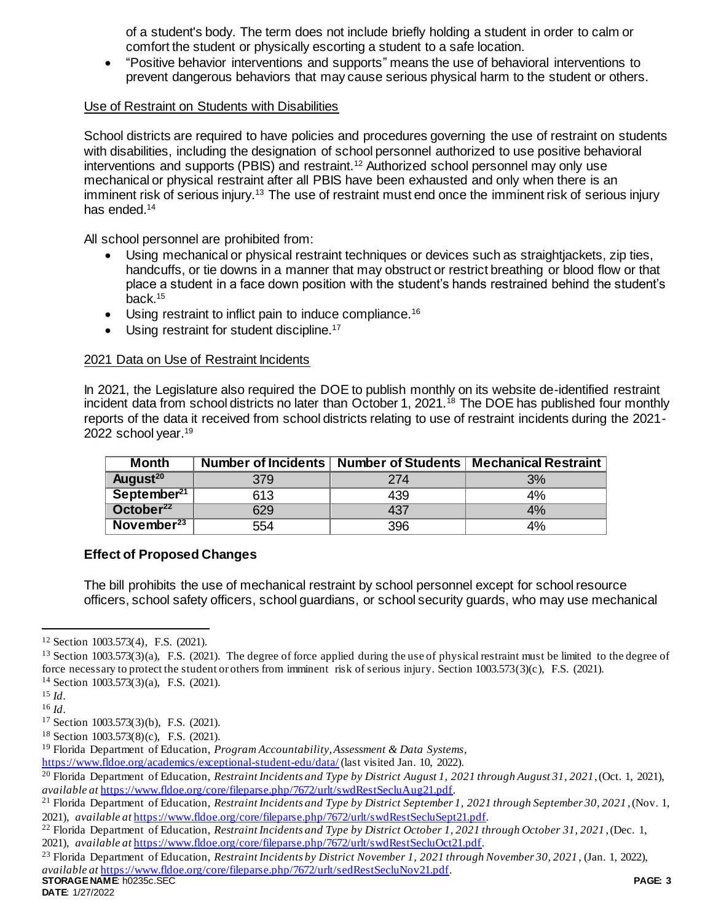of a student's body. The term does not include briefly holding a student in order to calm or comfort the student or physically escorting a student to a safe location.

 "Positive behavior interventions and supports" means the use of behavioral interventions to prevent dangerous behaviors that may cause serious physical harm to the student or others.

#### Use of Restraint on Students with Disabilities

School districts are required to have policies and procedures governing the use of restraint on students with disabilities, including the designation of school personnel authorized to use positive behavioral interventions and supports (PBIS) and restraint.<sup>12</sup> Authorized school personnel may only use mechanical or physical restraint after all PBIS have been exhausted and only when there is an imminent risk of serious injury.<sup>13</sup> The use of restraint must end once the imminent risk of serious injury has ended.<sup>14</sup>

All school personnel are prohibited from:

- Using mechanical or physical restraint techniques or devices such as straightjackets, zip ties, handcuffs, or tie downs in a manner that may obstruct or restrict breathing or blood flow or that place a student in a face down position with the student's hands restrained behind the student's back.<sup>15</sup>
- Using restraint to inflict pain to induce compliance.<sup>16</sup>
- Using restraint for student discipline.<sup>17</sup>

## 2021 Data on Use of Restraint Incidents

In 2021, the Legislature also required the DOE to publish monthly on its website de-identified restraint incident data from school districts no later than October 1, 2021.<sup>18</sup> The DOE has published four monthly reports of the data it received from school districts relating to use of restraint incidents during the 2021- 2022 school year.<sup>19</sup>

| Month                   |     | Number of Incidents   Number of Students | <b>Mechanical Restraint</b> |
|-------------------------|-----|------------------------------------------|-----------------------------|
| August <sup>20</sup>    | 379 | 274                                      | 3%                          |
| September <sup>21</sup> | 613 | 439                                      | 4%                          |
| October <sup>22</sup>   | 629 | 437                                      | 4%                          |
| November <sup>23</sup>  | 554 | 396                                      | 4%                          |

## **Effect of Proposed Changes**

The bill prohibits the use of mechanical restraint by school personnel except for school resource officers, school safety officers, school guardians, or school security guards, who may use mechanical

 $\overline{a}$ 

<sup>12</sup> Section 1003.573(4), F.S. (2021).

 $13$  Section 1003.573(3)(a), F.S. (2021). The degree of force applied during the use of physical restraint must be limited to the degree of force necessary to protect the student or others from imminent risk of serious injury. Section 1003.573(3)(c), F.S. (2021). <sup>14</sup> Section 1003.573(3)(a), F.S. (2021).

<sup>15</sup> *Id*.

<sup>16</sup> *Id*.

<sup>17</sup> Section 1003.573(3)(b), F.S. (2021).

<sup>18</sup> Section 1003.573(8)(c), F.S. (2021).

<sup>19</sup> Florida Department of Education, *Program Accountability, Assessment & Data Systems*,

<https://www.fldoe.org/academics/exceptional-student-edu/data/> (last visited Jan. 10, 2022).

<sup>20</sup> Florida Department of Education, *Restraint Incidents and Type by District August 1, 2021 through August 31, 2021*, (Oct. 1, 2021), *available at* [https://www.fldoe.org/core/fileparse.php/7672/urlt/swdRestSecluAug21.pdf.](https://www.fldoe.org/core/fileparse.php/7672/urlt/swdRestSecluAug21.pdf)

<sup>21</sup> Florida Department of Education, *Restraint Incidents and Type by District September 1, 2021 through September 30, 2021* , (Nov. 1, 2021), *available at* [https://www.fldoe.org/core/fileparse.php/7672/urlt/swdRestSecluSept21.pdf.](https://www.fldoe.org/core/fileparse.php/7672/urlt/swdRestSecluSept21.pdf) 

<sup>22</sup> Florida Department of Education, *Restraint Incidents and Type by District October 1, 2021 through October 31, 2021* , (Dec. 1, 2021), *available at* [https://www.fldoe.org/core/fileparse.php/7672/urlt/swdRestSecluOct21.pdf.](https://www.fldoe.org/core/fileparse.php/7672/urlt/swdRestSecluOct21.pdf) 

**STORAGE NAME**: h0235c.SEC **PAGE: 3** <sup>23</sup> Florida Department of Education, *Restraint Incidents by District November 1, 2021 through November 30, 2021* , (Jan. 1, 2022), *available at* [https://www.fldoe.org/core/fileparse.php/7672/urlt/sedRestSecluNov21.pdf.](https://www.fldoe.org/core/fileparse.php/7672/urlt/sedRestSecluNov21.pdf)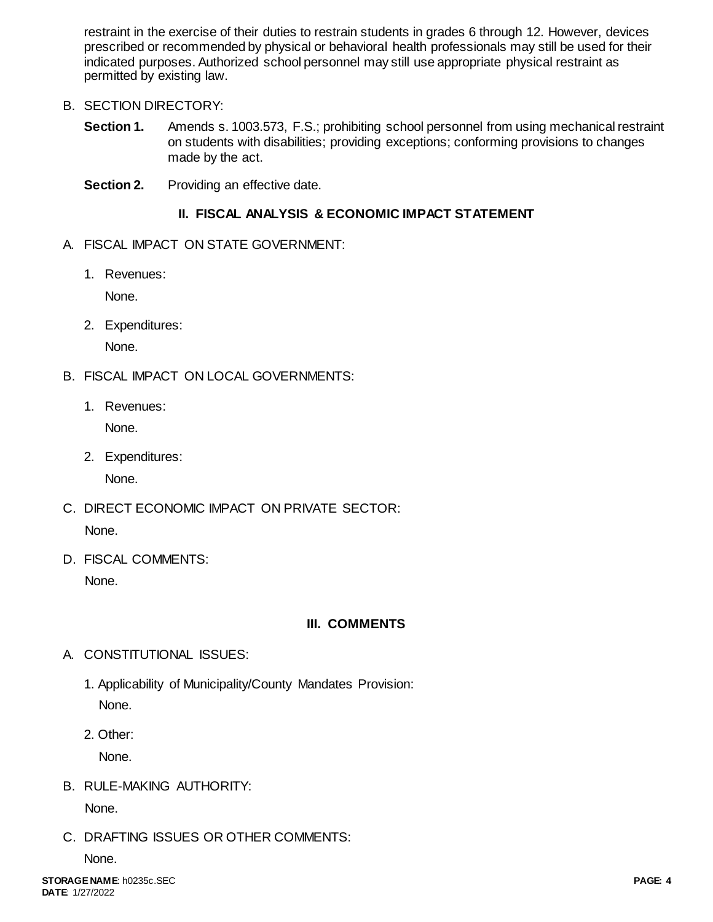restraint in the exercise of their duties to restrain students in grades 6 through 12. However, devices prescribed or recommended by physical or behavioral health professionals may still be used for their indicated purposes. Authorized school personnel may still use appropriate physical restraint as permitted by existing law.

## B. SECTION DIRECTORY:

- **Section 1.** Amends s. 1003.573, F.S.; prohibiting school personnel from using mechanical restraint on students with disabilities; providing exceptions; conforming provisions to changes made by the act.
- **Section 2.** Providing an effective date.

# **II. FISCAL ANALYSIS & ECONOMIC IMPACT STATEMENT**

- A. FISCAL IMPACT ON STATE GOVERNMENT:
	- 1. Revenues:

None.

2. Expenditures:

None.

- B. FISCAL IMPACT ON LOCAL GOVERNMENTS:
	- 1. Revenues:

None.

2. Expenditures:

None.

- C. DIRECT ECONOMIC IMPACT ON PRIVATE SECTOR: None.
- D. FISCAL COMMENTS:

None.

# **III. COMMENTS**

- A. CONSTITUTIONAL ISSUES:
	- 1. Applicability of Municipality/County Mandates Provision: None.
	- 2. Other:

None.

B. RULE-MAKING AUTHORITY:

None.

C. DRAFTING ISSUES OR OTHER COMMENTS:

None.